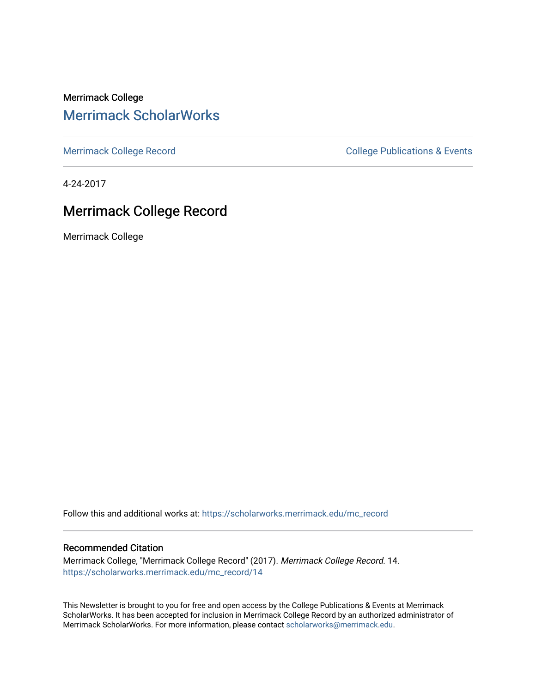Merrimack College [Merrimack ScholarWorks](https://scholarworks.merrimack.edu/) 

[Merrimack College Record](https://scholarworks.merrimack.edu/mc_record) **College Record** College Publications & Events

4-24-2017

#### Merrimack College Record

Merrimack College

Follow this and additional works at: [https://scholarworks.merrimack.edu/mc\\_record](https://scholarworks.merrimack.edu/mc_record?utm_source=scholarworks.merrimack.edu%2Fmc_record%2F14&utm_medium=PDF&utm_campaign=PDFCoverPages) 

#### Recommended Citation

Merrimack College, "Merrimack College Record" (2017). Merrimack College Record. 14. [https://scholarworks.merrimack.edu/mc\\_record/14](https://scholarworks.merrimack.edu/mc_record/14?utm_source=scholarworks.merrimack.edu%2Fmc_record%2F14&utm_medium=PDF&utm_campaign=PDFCoverPages)

This Newsletter is brought to you for free and open access by the College Publications & Events at Merrimack ScholarWorks. It has been accepted for inclusion in Merrimack College Record by an authorized administrator of Merrimack ScholarWorks. For more information, please contact [scholarworks@merrimack.edu](mailto:scholarworks@merrimack.edu).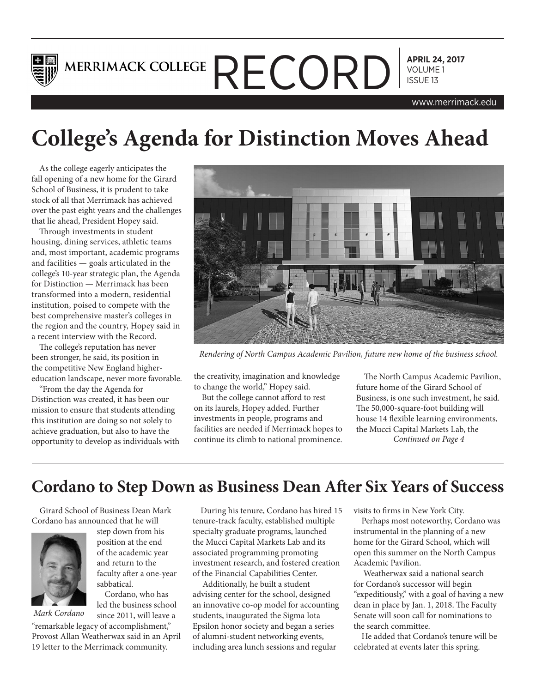

## **APRIL 24, 2017** MERRIMACK COLLEGE  $\mathsf{RECORD}$   $\bigcap_{\text{VOLUME 1}}$

www.merrimack.edu

## **College's Agenda for Distinction Moves Ahead**

As the college eagerly anticipates the fall opening of a new home for the Girard School of Business, it is prudent to take stock of all that Merrimack has achieved over the past eight years and the challenges that lie ahead, President Hopey said.

Through investments in student housing, dining services, athletic teams and, most important, academic programs and facilities — goals articulated in the college's 10-year strategic plan, the Agenda for Distinction — Merrimack has been transformed into a modern, residential institution, poised to compete with the best comprehensive master's colleges in the region and the country, Hopey said in a recent interview with the Record.

The college's reputation has never been stronger, he said, its position in the competitive New England highereducation landscape, never more favorable.

"From the day the Agenda for Distinction was created, it has been our mission to ensure that students attending this institution are doing so not solely to achieve graduation, but also to have the opportunity to develop as individuals with



*Rendering of North Campus Academic Pavilion, future new home of the business school.*

the creativity, imagination and knowledge to change the world," Hopey said.

But the college cannot afford to rest on its laurels, Hopey added. Further investments in people, programs and facilities are needed if Merrimack hopes to continue its climb to national prominence.

The North Campus Academic Pavilion, future home of the Girard School of Business, is one such investment, he said. The 50,000-square-foot building will house 14 flexible learning environments, the Mucci Capital Markets Lab, the *Continued on Page 4*

## **Cordano to Step Down as Business Dean After Six Years of Success**

Girard School of Business Dean Mark Cordano has announced that he will



step down from his position at the end of the academic year and return to the faculty after a one-year sabbatical.

Cordano, who has led the business school

since 2011, will leave a "remarkable legacy of accomplishment," Provost Allan Weatherwax said in an April *Mark Cordano*

19 letter to the Merrimack community.

During his tenure, Cordano has hired 15 tenure-track faculty, established multiple specialty graduate programs, launched the Mucci Capital Markets Lab and its associated programming promoting investment research, and fostered creation of the Financial Capabilities Center.

 Additionally, he built a student advising center for the school, designed an innovative co-op model for accounting students, inaugurated the Sigma Iota Epsilon honor society and began a series of alumni-student networking events, including area lunch sessions and regular

visits to firms in New York City.

Perhaps most noteworthy, Cordano was instrumental in the planning of a new home for the Girard School, which will open this summer on the North Campus Academic Pavilion.

 Weatherwax said a national search for Cordano's successor will begin "expeditiously," with a goal of having a new dean in place by Jan. 1, 2018. The Faculty Senate will soon call for nominations to the search committee.

He added that Cordano's tenure will be celebrated at events later this spring.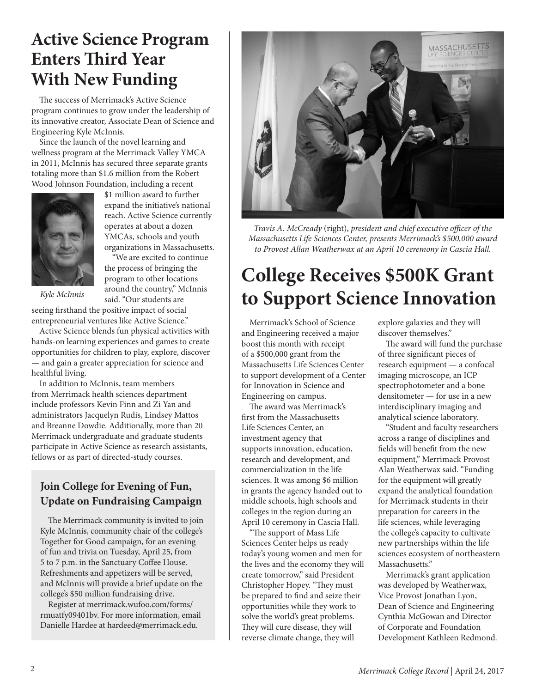## **Active Science Program Enters Third Year With New Funding**

The success of Merrimack's Active Science program continues to grow under the leadership of its innovative creator, Associate Dean of Science and Engineering Kyle McInnis.

Since the launch of the novel learning and wellness program at the Merrimack Valley YMCA in 2011, McInnis has secured three separate grants totaling more than \$1.6 million from the Robert Wood Johnson Foundation, including a recent



\$1 million award to further expand the initiative's national reach. Active Science currently operates at about a dozen YMCAs, schools and youth organizations in Massachusetts.

"We are excited to continue the process of bringing the program to other locations around the country," McInnis said. "Our students are

*Kyle McInnis*

seeing firsthand the positive impact of social entrepreneurial ventures like Active Science."

Active Science blends fun physical activities with hands-on learning experiences and games to create opportunities for children to play, explore, discover — and gain a greater appreciation for science and healthful living.

In addition to McInnis, team members from Merrimack health sciences department include professors Kevin Finn and Zi Yan and administrators Jacquelyn Rudis, Lindsey Mattos and Breanne Dowdie. Additionally, more than 20 Merrimack undergraduate and graduate students participate in Active Science as research assistants, fellows or as part of directed-study courses.

#### **Join College for Evening of Fun, Update on Fundraising Campaign**

The Merrimack community is invited to join Kyle McInnis, community chair of the college's Together for Good campaign, for an evening of fun and trivia on Tuesday, April 25, from 5 to 7 p.m. in the Sanctuary Coffee House. Refreshments and appetizers will be served, and McInnis will provide a brief update on the college's \$50 million fundraising drive.

Register at merrimack.wufoo.com/forms/ rmuatfy09401bv. For more information, email Danielle Hardee at hardeed@merrimack.edu.



*Travis A. McCready* (right), *president and chief executive officer of the Massachusetts Life Sciences Center, presents Merrimack's \$500,000 award to Provost Allan Weatherwax at an April 10 ceremony in Cascia Hall.*

## **College Receives \$500K Grant to Support Science Innovation**

Merrimack's School of Science and Engineering received a major boost this month with receipt of a \$500,000 grant from the Massachusetts Life Sciences Center to support development of a Center for Innovation in Science and Engineering on campus.

The award was Merrimack's first from the Massachusetts Life Sciences Center, an investment agency that supports innovation, education, research and development, and commercialization in the life sciences. It was among \$6 million in grants the agency handed out to middle schools, high schools and colleges in the region during an April 10 ceremony in Cascia Hall.

"The support of Mass Life Sciences Center helps us ready today's young women and men for the lives and the economy they will create tomorrow," said President Christopher Hopey. "They must be prepared to find and seize their opportunities while they work to solve the world's great problems. They will cure disease, they will reverse climate change, they will

explore galaxies and they will discover themselves."

The award will fund the purchase of three significant pieces of research equipment — a confocal imaging microscope, an ICP spectrophotometer and a bone densitometer — for use in a new interdisciplinary imaging and analytical science laboratory.

"Student and faculty researchers across a range of disciplines and fields will benefit from the new equipment," Merrimack Provost Alan Weatherwax said. "Funding for the equipment will greatly expand the analytical foundation for Merrimack students in their preparation for careers in the life sciences, while leveraging the college's capacity to cultivate new partnerships within the life sciences ecosystem of northeastern Massachusetts."

Merrimack's grant application was developed by Weatherwax, Vice Provost Jonathan Lyon, Dean of Science and Engineering Cynthia McGowan and Director of Corporate and Foundation Development Kathleen Redmond.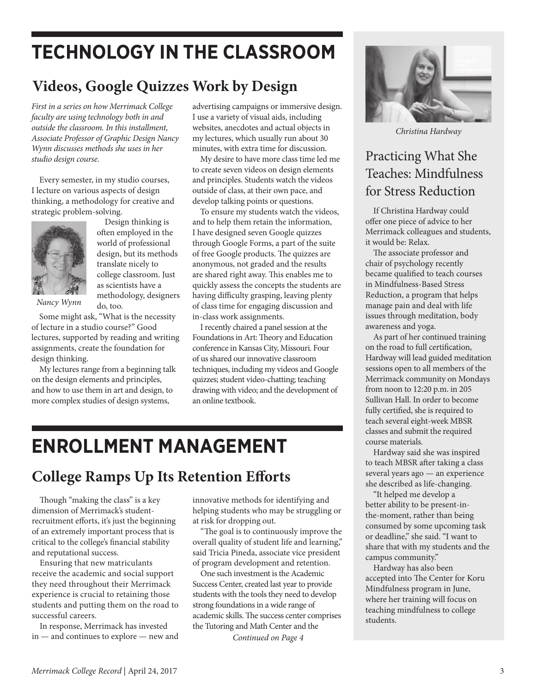## **TECHNOLOGY IN THE CLASSROOM**

## **Videos, Google Quizzes Work by Design**

*First in a series on how Merrimack College faculty are using technology both in and outside the classroom. In this installment, Associate Professor of Graphic Design Nancy Wynn discusses methods she uses in her studio design course.*

Every semester, in my studio courses, I lecture on various aspects of design thinking, a methodology for creative and strategic problem-solving.



Design thinking is often employed in the world of professional design, but its methods translate nicely to college classroom. Just as scientists have a methodology, designers do, too.

*Nancy Wynn*

Some might ask, "What is the necessity of lecture in a studio course?" Good lectures, supported by reading and writing assignments, create the foundation for design thinking.

My lectures range from a beginning talk on the design elements and principles, and how to use them in art and design, to more complex studies of design systems,

advertising campaigns or immersive design. I use a variety of visual aids, including websites, anecdotes and actual objects in my lectures, which usually run about 30 minutes, with extra time for discussion.

My desire to have more class time led me to create seven videos on design elements and principles. Students watch the videos outside of class, at their own pace, and develop talking points or questions.

To ensure my students watch the videos, and to help them retain the information, I have designed seven Google quizzes through Google Forms, a part of the suite of free Google products. The quizzes are anonymous, not graded and the results are shared right away. This enables me to quickly assess the concepts the students are having difficulty grasping, leaving plenty of class time for engaging discussion and in-class work assignments.

I recently chaired a panel session at the Foundations in Art: Theory and Education conference in Kansas City, Missouri. Four of us shared our innovative classroom techniques, including my videos and Google quizzes; student video-chatting; teaching drawing with video; and the development of an online textbook.

## **ENROLLMENT MANAGEMENT**

## **College Ramps Up Its Retention Efforts**

Though "making the class" is a key dimension of Merrimack's studentrecruitment efforts, it's just the beginning of an extremely important process that is critical to the college's financial stability and reputational success.

Ensuring that new matriculants receive the academic and social support they need throughout their Merrimack experience is crucial to retaining those students and putting them on the road to successful careers.

In response, Merrimack has invested in — and continues to explore — new and

innovative methods for identifying and helping students who may be struggling or at risk for dropping out.

"The goal is to continuously improve the overall quality of student life and learning," said Tricia Pineda, associate vice president of program development and retention.

One such investment is the Academic Success Center, created last year to provide students with the tools they need to develop strong foundations in a wide range of academic skills. The success center comprises the Tutoring and Math Center and the

*Continued on Page 4*



*Christina Hardway*

### Practicing What She Teaches: Mindfulness for Stress Reduction

If Christina Hardway could offer one piece of advice to her Merrimack colleagues and students, it would be: Relax.

The associate professor and chair of psychology recently became qualified to teach courses in Mindfulness-Based Stress Reduction, a program that helps manage pain and deal with life issues through meditation, body awareness and yoga.

As part of her continued training on the road to full certification, Hardway will lead guided meditation sessions open to all members of the Merrimack community on Mondays from noon to 12:20 p.m. in 205 Sullivan Hall. In order to become fully certified, she is required to teach several eight-week MBSR classes and submit the required course materials.

Hardway said she was inspired to teach MBSR after taking a class several years ago — an experience she described as life-changing.

"It helped me develop a better ability to be present-inthe-moment, rather than being consumed by some upcoming task or deadline," she said. "I want to share that with my students and the campus community."

Hardway has also been accepted into The Center for Koru Mindfulness program in June, where her training will focus on teaching mindfulness to college students.